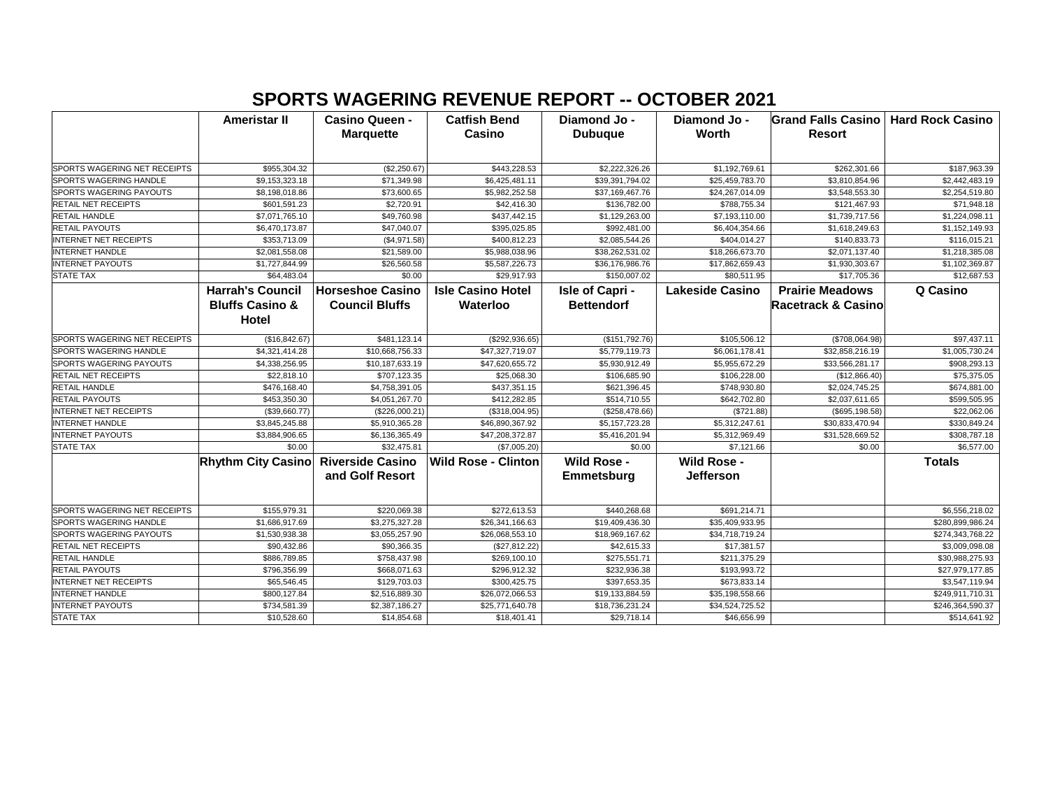## **SPORTS WAGERING REVENUE REPORT -- OCTOBER 2021**

|                                | <b>Ameristar II</b>        | <b>Casino Queen -</b><br><b>Marquette</b> | <b>Catfish Bend</b><br>Casino | Diamond Jo -<br><b>Dubuque</b> | Diamond Jo -<br><b>Worth</b> | Grand Falls Casino   Hard Rock Casino<br><b>Resort</b> |                  |
|--------------------------------|----------------------------|-------------------------------------------|-------------------------------|--------------------------------|------------------------------|--------------------------------------------------------|------------------|
|                                |                            |                                           |                               |                                |                              |                                                        |                  |
| SPORTS WAGERING NET RECEIPTS   | \$955,304.32               | (\$2,250.67)                              | \$443,228.53                  | \$2,222,326.26                 | \$1,192,769.61               | \$262,301.66                                           | \$187,963.39     |
| SPORTS WAGERING HANDLE         | \$9,153,323.18             | \$71,349.98                               | \$6,425,481.11                | \$39,391,794.02                | \$25,459,783.70              | \$3,810,854.96                                         | \$2,442,483.19   |
| SPORTS WAGERING PAYOUTS        | \$8,198,018.86             | \$73,600.65                               | \$5,982,252.58                | \$37,169,467.76                | \$24,267,014.09              | \$3,548,553.30                                         | \$2,254,519.80   |
| <b>RETAIL NET RECEIPTS</b>     | \$601,591.23               | \$2,720.91                                | \$42,416.30                   | \$136,782.00                   | \$788,755.34                 | \$121,467.93                                           | \$71,948.18      |
| <b>RETAIL HANDLE</b>           | \$7,071,765.10             | \$49,760.98                               | \$437,442.15                  | \$1,129,263.00                 | \$7,193,110.00               | \$1,739,717.56                                         | \$1,224,098.11   |
| RETAIL PAYOUTS                 | \$6,470,173.87             | \$47,040.07                               | \$395,025.85                  | \$992,481.00                   | \$6,404,354.66               | \$1,618,249.63                                         | \$1,152,149.93   |
| <b>INTERNET NET RECEIPTS</b>   | \$353,713.09               | (\$4,971.58)                              | \$400,812.23                  | \$2,085,544.26                 | \$404,014.27                 | \$140,833.73                                           | \$116,015.21     |
| <b>INTERNET HANDLE</b>         | \$2,081,558.08             | \$21,589.00                               | \$5,988,038.96                | \$38,262,531.02                | \$18,266,673.70              | \$2,071,137.40                                         | \$1,218,385.08   |
| <b>INTERNET PAYOUTS</b>        | \$1,727,844.99             | \$26,560.58                               | \$5,587,226.73                | \$36,176,986.76                | \$17,862,659.43              | \$1,930,303.67                                         | \$1,102,369.87   |
| <b>STATE TAX</b>               | \$64,483.04                | \$0.00                                    | \$29,917.93                   | \$150,007.02                   | \$80,511.95                  | \$17,705.36                                            | \$12,687.53      |
|                                | <b>Harrah's Council</b>    | <b>Horseshoe Casino</b>                   | <b>Isle Casino Hotel</b>      | Isle of Capri -                | <b>Lakeside Casino</b>       | <b>Prairie Meadows</b>                                 | Q Casino         |
|                                | <b>Bluffs Casino &amp;</b> | <b>Council Bluffs</b>                     | Waterloo                      | <b>Bettendorf</b>              |                              | <b>Racetrack &amp; Casino</b>                          |                  |
|                                | Hotel                      |                                           |                               |                                |                              |                                                        |                  |
| SPORTS WAGERING NET RECEIPTS   | (\$16,842.67)              | \$481,123.14                              | (\$292,936.65)                | (\$151,792.76)                 | \$105,506.12                 | (\$708,064.98)                                         | \$97,437.11      |
| <b>SPORTS WAGERING HANDLE</b>  | \$4,321,414.28             | \$10,668,756.33                           | \$47,327,719.07               | \$5,779,119.73                 | \$6,061,178.41               | \$32,858,216.19                                        | \$1,005,730.24   |
| SPORTS WAGERING PAYOUTS        | \$4,338,256.95             | \$10,187,633.19                           | \$47,620,655.72               | \$5,930,912.49                 | \$5,955,672.29               | \$33,566,281.17                                        | \$908,293.13     |
| RETAIL NET RECEIPTS            | \$22,818.10                | \$707,123.35                              | \$25,068.30                   | \$106,685.90                   | \$106,228.00                 | (\$12,866.40)                                          | \$75,375.05      |
| <b>RETAIL HANDLE</b>           | \$476,168.40               | \$4,758,391.05                            | \$437,351.15                  | \$621,396.45                   | \$748,930.80                 | \$2,024,745.25                                         | \$674,881.00     |
| RETAIL PAYOUTS                 | \$453,350.30               | \$4,051,267.70                            | \$412,282.85                  | \$514,710.55                   | \$642,702.80                 | \$2,037,611.65                                         | \$599,505.95     |
| <b>INTERNET NET RECEIPTS</b>   | (\$39,660.77)              | (\$226,000.21)                            | (\$318,004.95)                | (\$258,478.66)                 | (\$721.88)                   | (\$695, 198.58)                                        | \$22,062.06      |
| <b>INTERNET HANDLE</b>         | \$3,845,245.88             | \$5,910,365.28                            | \$46,890,367.92               | \$5,157,723.28                 | \$5,312,247.61               | \$30,833,470.94                                        | \$330,849.24     |
| <b>INTERNET PAYOUTS</b>        | \$3,884,906.65             | \$6,136,365.49                            | \$47,208,372.87               | \$5,416,201.94                 | \$5,312,969.49               | \$31,528,669.52                                        | \$308,787.18     |
| <b>STATE TAX</b>               | \$0.00                     | \$32,475.81                               | (\$7,005.20)                  | \$0.00                         | \$7,121.66                   | \$0.00                                                 | \$6,577.00       |
|                                | <b>Rhythm City Casino</b>  | <b>Riverside Casino</b>                   | <b>Wild Rose - Clinton</b>    | <b>Wild Rose -</b>             | Wild Rose -                  |                                                        | <b>Totals</b>    |
|                                |                            | and Golf Resort                           |                               | Emmetsburg                     | <b>Jefferson</b>             |                                                        |                  |
|                                |                            |                                           |                               |                                |                              |                                                        |                  |
| SPORTS WAGERING NET RECEIPTS   | \$155,979.31               | \$220,069.38                              | \$272,613.53                  | \$440,268.68                   | \$691,214.71                 |                                                        | \$6,556,218.02   |
| SPORTS WAGERING HANDLE         | \$1,686,917.69             | \$3,275,327.28                            | \$26,341,166.63               | \$19,409,436.30                | \$35,409,933.95              |                                                        | \$280,899,986.24 |
| <b>SPORTS WAGERING PAYOUTS</b> | \$1,530,938.38             | \$3,055,257.90                            | \$26,068,553.10               | \$18,969,167.62                | \$34,718,719.24              |                                                        | \$274,343,768.22 |
| RETAIL NET RECEIPTS            | \$90,432.86                | \$90,366.35                               | (\$27,812.22)                 | \$42,615.33                    | \$17,381.57                  |                                                        | \$3,009,098.08   |
| <b>RETAIL HANDLE</b>           | \$886,789.85               | \$758,437.98                              | \$269,100.10                  | \$275,551.71                   | \$211,375.29                 |                                                        | \$30,988,275.93  |
| <b>RETAIL PAYOUTS</b>          | \$796,356.99               | \$668,071.63                              | \$296,912.32                  | \$232,936.38                   | \$193,993.72                 |                                                        | \$27,979,177.85  |
| <b>INTERNET NET RECEIPTS</b>   | \$65,546.45                | \$129,703.03                              | \$300,425.75                  | \$397,653.35                   | \$673,833.14                 |                                                        | \$3,547,119.94   |
| <b>INTERNET HANDLE</b>         | \$800,127.84               | \$2,516,889.30                            | \$26,072,066.53               | \$19,133,884.59                | \$35,198,558.66              |                                                        | \$249,911,710.31 |
| <b>INTERNET PAYOUTS</b>        | \$734,581.39               | \$2,387,186.27                            | \$25,771,640.78               | \$18,736,231.24                | \$34,524,725.52              |                                                        | \$246,364,590.37 |
| <b>STATE TAX</b>               | \$10,528.60                | \$14,854.68                               | \$18,401.41                   | \$29,718.14                    | \$46,656.99                  |                                                        | \$514,641.92     |